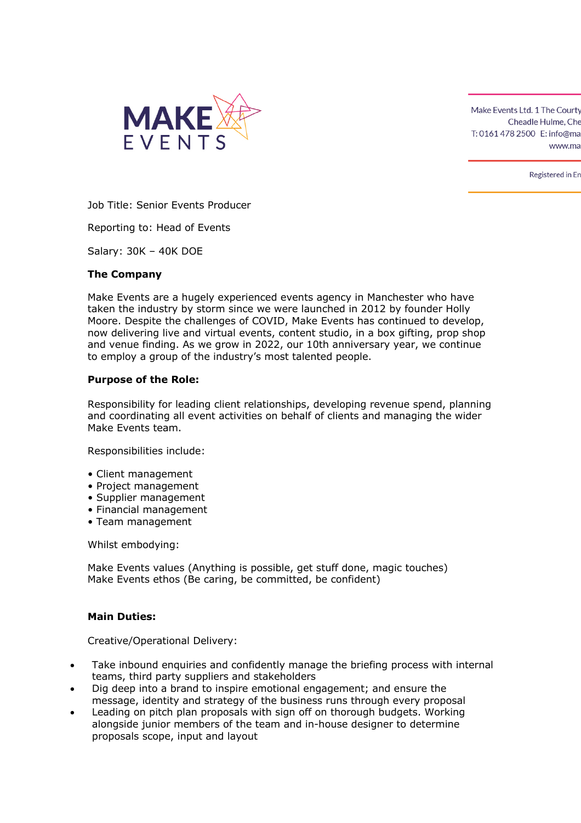

Registered in En

Job Title: Senior Events Producer

Reporting to: Head of Events

Salary: 30K – 40K DOE

#### **The Company**

Make Events are a hugely experienced events agency in Manchester who have taken the industry by storm since we were launched in 2012 by founder Holly Moore. Despite the challenges of COVID, Make Events has continued to develop, now delivering live and virtual events, content studio, in a box gifting, prop shop and venue finding. As we grow in 2022, our 10th anniversary year, we continue to employ a group of the industry's most talented people.

#### **Purpose of the Role:**

Responsibility for leading client relationships, developing revenue spend, planning and coordinating all event activities on behalf of clients and managing the wider Make Events team.

Responsibilities include:

- Client management
- Project management
- Supplier management
- Financial management
- Team management

Whilst embodying:

Make Events values (Anything is possible, get stuff done, magic touches) Make Events ethos (Be caring, be committed, be confident)

#### **Main Duties:**

Creative/Operational Delivery:

- Take inbound enquiries and confidently manage the briefing process with internal teams, third party suppliers and stakeholders
- Dig deep into a brand to inspire emotional engagement; and ensure the message, identity and strategy of the business runs through every proposal
- Leading on pitch plan proposals with sign off on thorough budgets. Working alongside junior members of the team and in-house designer to determine proposals scope, input and layout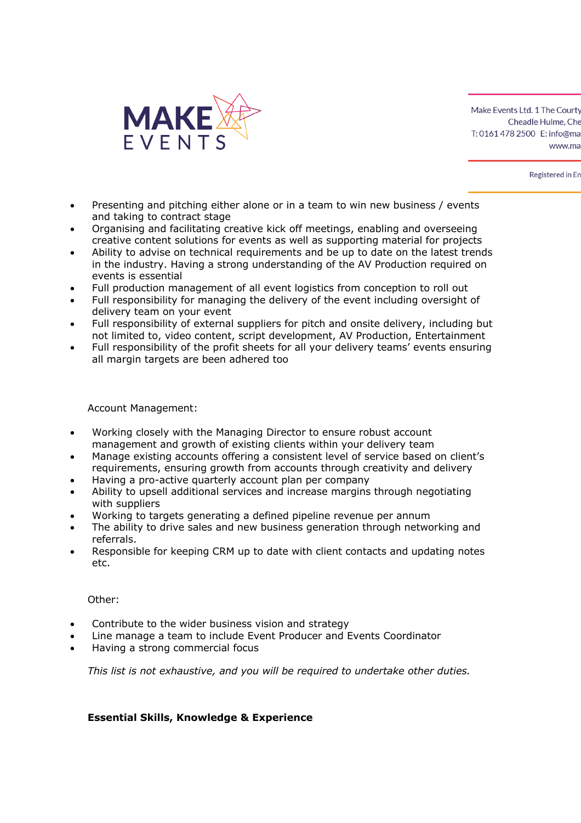

Registered in En

- Presenting and pitching either alone or in a team to win new business / events and taking to contract stage
- Organising and facilitating creative kick off meetings, enabling and overseeing creative content solutions for events as well as supporting material for projects
- Ability to advise on technical requirements and be up to date on the latest trends in the industry. Having a strong understanding of the AV Production required on events is essential
- Full production management of all event logistics from conception to roll out
- Full responsibility for managing the delivery of the event including oversight of delivery team on your event
- Full responsibility of external suppliers for pitch and onsite delivery, including but not limited to, video content, script development, AV Production, Entertainment
- Full responsibility of the profit sheets for all your delivery teams' events ensuring all margin targets are been adhered too

Account Management:

- Working closely with the Managing Director to ensure robust account management and growth of existing clients within your delivery team
- Manage existing accounts offering a consistent level of service based on client's requirements, ensuring growth from accounts through creativity and delivery
- Having a pro-active quarterly account plan per company
- Ability to upsell additional services and increase margins through negotiating with suppliers
- Working to targets generating a defined pipeline revenue per annum
- The ability to drive sales and new business generation through networking and referrals.
- Responsible for keeping CRM up to date with client contacts and updating notes etc.

Other:

- Contribute to the wider business vision and strategy
- Line manage a team to include Event Producer and Events Coordinator
- Having a strong commercial focus

*This list is not exhaustive, and you will be required to undertake other duties.*

# **Essential Skills, Knowledge & Experience**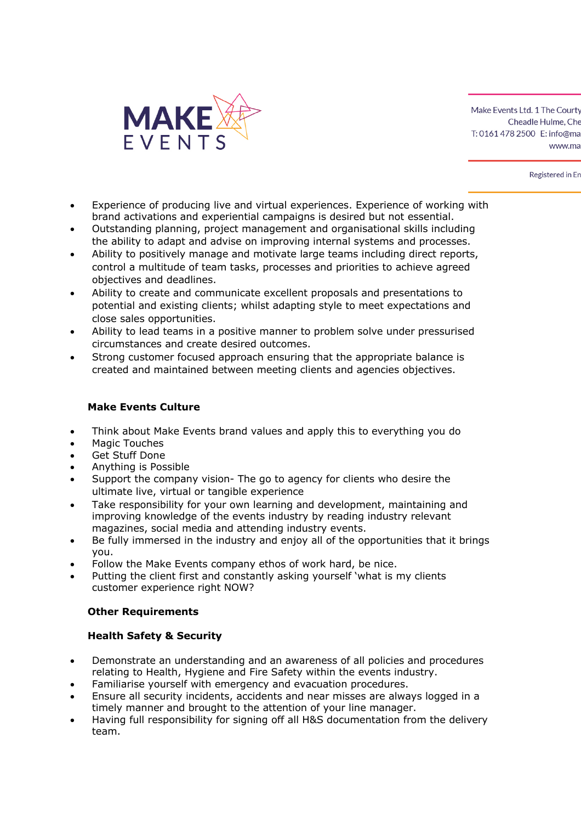

Registered in En

- Experience of producing live and virtual experiences. Experience of working with brand activations and experiential campaigns is desired but not essential.
- Outstanding planning, project management and organisational skills including the ability to adapt and advise on improving internal systems and processes.
- Ability to positively manage and motivate large teams including direct reports, control a multitude of team tasks, processes and priorities to achieve agreed objectives and deadlines.
- Ability to create and communicate excellent proposals and presentations to potential and existing clients; whilst adapting style to meet expectations and close sales opportunities.
- Ability to lead teams in a positive manner to problem solve under pressurised circumstances and create desired outcomes.
- Strong customer focused approach ensuring that the appropriate balance is created and maintained between meeting clients and agencies objectives.

# **Make Events Culture**

- Think about Make Events brand values and apply this to everything you do
- Magic Touches
- Get Stuff Done
- Anything is Possible
- Support the company vision- The go to agency for clients who desire the ultimate live, virtual or tangible experience
- Take responsibility for your own learning and development, maintaining and improving knowledge of the events industry by reading industry relevant magazines, social media and attending industry events.
- Be fully immersed in the industry and enjoy all of the opportunities that it brings you.
- Follow the Make Events company ethos of work hard, be nice.
- Putting the client first and constantly asking yourself 'what is my clients customer experience right NOW?

# **Other Requirements**

# **Health Safety & Security**

- Demonstrate an understanding and an awareness of all policies and procedures relating to Health, Hygiene and Fire Safety within the events industry.
- Familiarise yourself with emergency and evacuation procedures.
- Ensure all security incidents, accidents and near misses are always logged in a timely manner and brought to the attention of your line manager.
- Having full responsibility for signing off all H&S documentation from the delivery team.